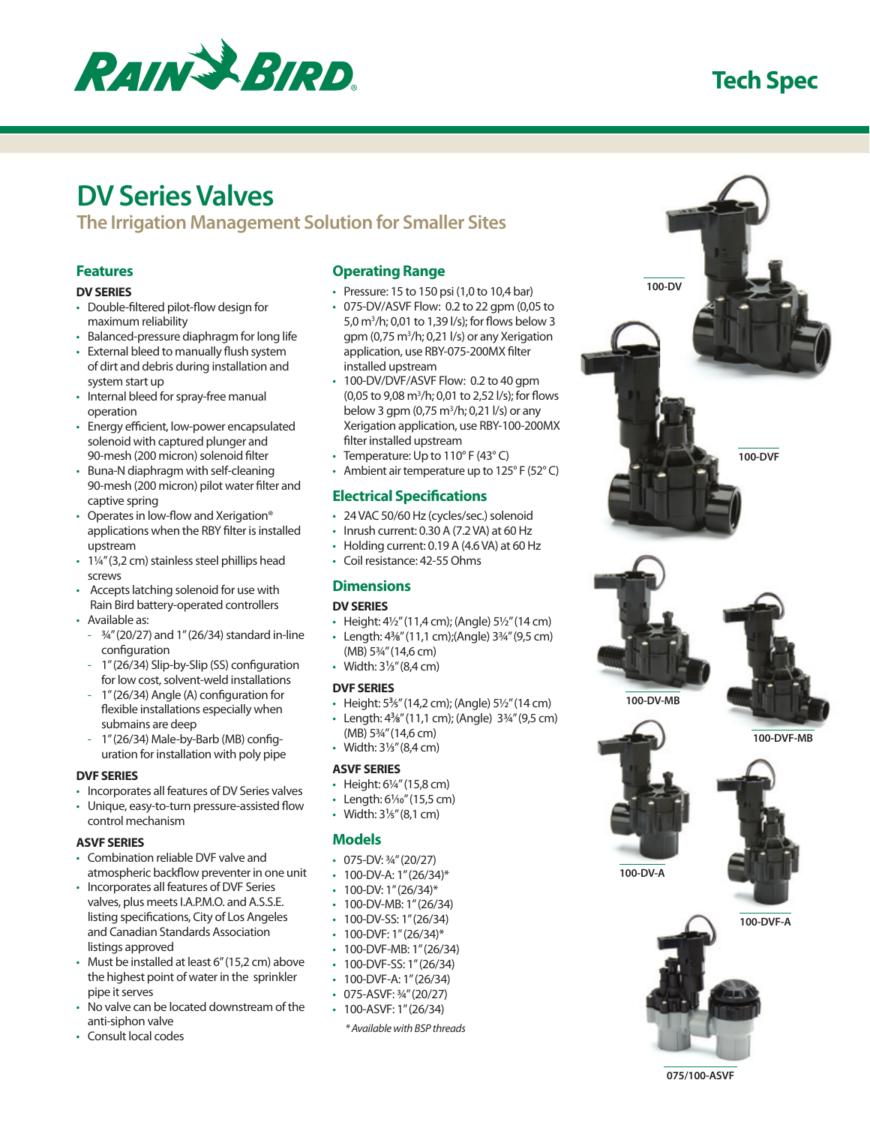

# **Tech Spec**

# **DV Series Valves**

**The Irrigation Management Solution for Smaller Sites**

# **Features**

### **DV SERIES**

- • Double-filtered pilot-flow design for maximum reliability
- Balanced-pressure diaphragm for long life
- • External bleed to manually flush system of dirt and debris during installation and system start up
- Internal bleed for spray-free manual operation
- Energy efficient, low-power encapsulated solenoid with captured plunger and 90-mesh (200 micron) solenoid filter
- • Buna-N diaphragm with self-cleaning 90-mesh (200 micron) pilot water filter and captive spring
- Operates in low-flow and Xerigation<sup>®</sup> applications when the RBY filter is installed upstream
- 1¼" (3,2 cm) stainless steel phillips head screws
- • Accepts latching solenoid for use with Rain Bird battery-operated controllers
- • Available as:
	- $\frac{3}{4}$ " (20/27) and 1" (26/34) standard in-line configuration
- 1" (26/34) Slip-by-Slip (SS) configuration for low cost, solvent-weld installations
- 1" (26/34) Angle (A) configuration for flexible installations especially when submains are deep
- 1" (26/34) Male-by-Barb (MB) configuration for installation with poly pipe

### **DVF SERIES**

• Incorporates all features of DV Series valves • Unique, easy-to-turn pressure-assisted flow control mechanism

### **ASVF SERIES**

- • Combination reliable DVF valve and atmospheric backflow preventer in one unit
- Incorporates all features of DVF Series valves, plus meets I.A.P.M.O. and A.S.S.E. listing specifications, City of Los Angeles and Canadian Standards Association listings approved
- Must be installed at least 6" (15,2 cm) above the highest point of water in the sprinkler pipe it serves
- No valve can be located downstream of the anti-siphon valve
- Consult local codes

# **Operating Range**

- $\cdot$  Pressure: 15 to 150 psi (1,0 to 10,4 bar)
- • 075-DV/ASVF Flow: 0.2 to 22 gpm (0,05 to 5,0 m3 /h; 0,01 to 1,39 l/s); for flows below 3 gpm (0,75 m<sup>3</sup>/h; 0,21 l/s) or any Xerigation application, use RBY-075-200MX filter installed upstream
- 100-DV/DVF/ASVF Flow: 0.2 to 40 gpm (0,05 to 9,08 m<sup>3</sup>/h; 0,01 to 2,52 l/s); for flows below 3 gpm (0,75 m<sup>3</sup>/h; 0,21 l/s) or any Xerigation application, use RBY-100-200MX filter installed upstream
- Temperature: Up to  $110^{\circ}$  F (43 $^{\circ}$  C)
- Ambient air temperature up to  $125^{\circ}$  F (52 $^{\circ}$  C)

# **Electrical Specifications**

- • 24 VAC 50/60 Hz (cycles/sec.) solenoid
- $\cdot$  Inrush current: 0.30 A (7.2 VA) at 60 Hz
- • Holding current: 0.19 A (4.6 VA) at 60 Hz
- • Coil resistance: 42-55 Ohms

# **Dimensions**

### **DV SERIES**

- Height:  $4\frac{1}{2}$ " (11,4 cm); (Angle)  $5\frac{1}{2}$ " (14 cm) • Length: 4**<sup>3</sup>** ⁄**8**" (11,1 cm);(Angle) 3¾" (9,5 cm)
- (MB) 5¾" (14,6 cm) • Width: 3**<sup>1</sup>** ⁄**3**" (8,4 cm)

### **DVF SERIES**

- • Height: 5**<sup>3</sup>** ⁄**5**" (14,2 cm); (Angle) 5½" (14 cm)
- • Length: 4**<sup>3</sup>** ⁄**8**" (11,1 cm); (Angle) 3¾" (9,5 cm)
- (MB) 5¾" (14,6 cm) • Width: 3**<sup>1</sup>** ⁄**3**" (8,4 cm)

### **ASVF SERIES**

- Height: 6¼" (15,8 cm)
- • Length: 6**<sup>1</sup>** ⁄**10**" (15,5 cm)
- • Width: 3**<sup>1</sup>** ⁄**5**" (8,1 cm)

# **Models**

- $\cdot$  075-DV:  $\frac{3}{4}$ " (20/27)
- $\cdot$  100-DV-A: 1" (26/34)\*
- $\cdot$  100-DV: 1" (26/34)\*
- 100-DV-MB: 1" (26/34)
- $\cdot$  100-DV-SS: 1" (26/34)
- $100$ -DVF: 1" (26/34)\*
- 100-DVF-MB: 1" (26/34)
- $\cdot$  100-DVF-SS: 1" (26/34)
- $\cdot$  100-DVF-A: 1" (26/34)
- 075-ASVF: 3/4" (20/27) • 100-ASVF: 1" (26/34)
	- *\* Available with BSP threads*



**075/100-ASVF**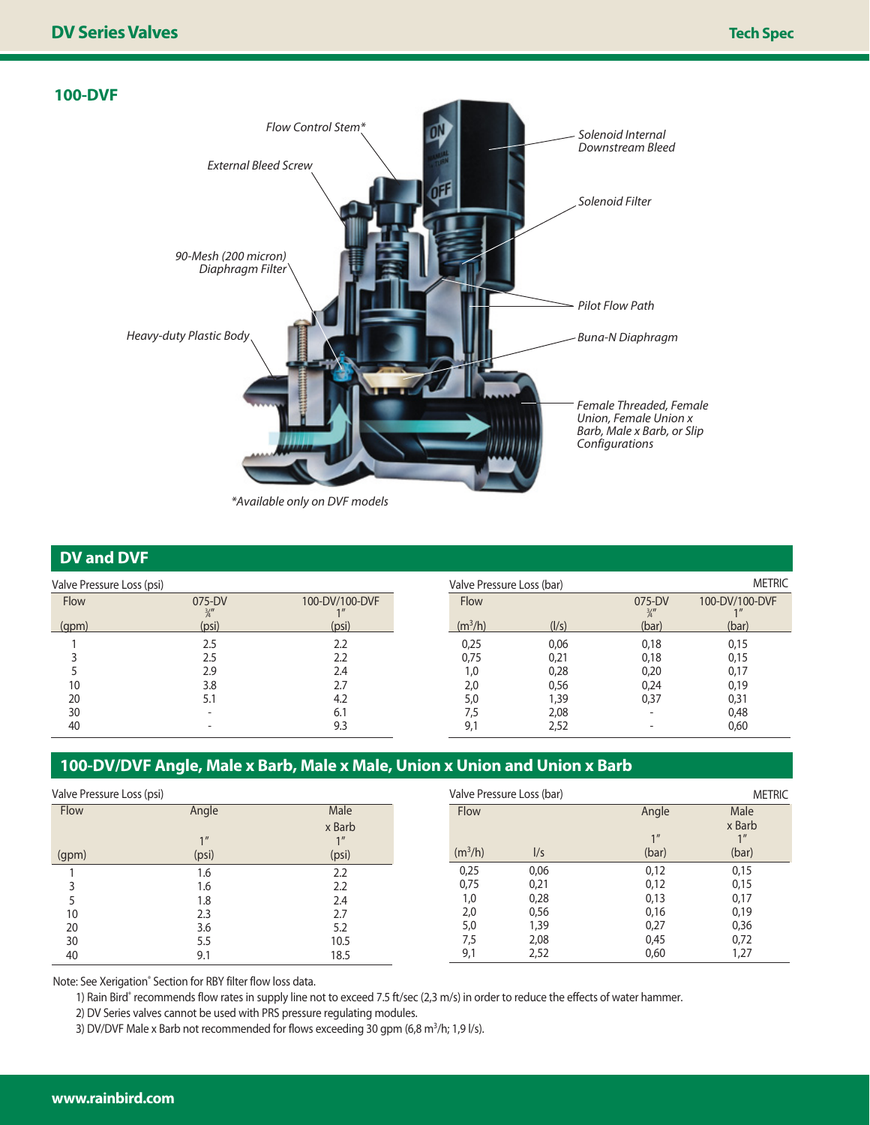# **100-DVF** *Female Threaded, Female Union, Female Union x Barb, Male x Barb, or Slip Configurations Buna-N Diaphragm Pilot Flow Path Solenoid Filter Solenoid Internal Downstream Bleed Flow Control Stem\* External Bleed Screw 90-Mesh (200 micron) Diaphragm Filter Heavy-duty Plastic Body \*Available only on DVF models*

# **DV and DVF**

| Valve Pressure Loss (psi) |              |                | Valve Pressure Loss (bar) |       |                          | <b>METRIC</b>                        |  |
|---------------------------|--------------|----------------|---------------------------|-------|--------------------------|--------------------------------------|--|
| Flow                      | 075-DV<br>¾″ | 100-DV/100-DVF | Flow                      |       | 075-DV<br>$\frac{3}{4}$  | 100-DV/100-DVF<br>$1$ $\prime\prime$ |  |
| (qpm)                     | (psi)        | (psi)          | $(m^3/h)$                 | (1/s) | (bar)                    | (bar)                                |  |
|                           | 2.5          | 2.2            | 0,25                      | 0,06  | 0,18                     | 0.15                                 |  |
|                           | 2.5          |                | 0,75                      | 0,21  | 0,18                     | 0.15                                 |  |
|                           | 2.9          | 2.4            | 1,0                       | 0,28  | 0,20                     | 0.17                                 |  |
| 10                        | 3.8          |                | 2,0                       | 0,56  | 0,24                     | 0,19                                 |  |
| 20                        | 5.1          | 4.2            | 5,0                       | 39,   | 0,37                     | 0,31                                 |  |
| 30                        |              | 6.1            | 7.5                       | 2,08  | $\overline{\phantom{0}}$ | 0,48                                 |  |
| 40                        |              | 9.3            | 9,                        | 2,52  |                          | 0,60                                 |  |

# **100-DV/DVF Angle, Male x Barb, Male x Male, Union x Union and Union x Barb**

| Valve Pressure Loss (psi) |       |        | Valve Pressure Loss (bar) |      |       | <b>METRIC</b> |  |
|---------------------------|-------|--------|---------------------------|------|-------|---------------|--|
| Flow                      | Angle | Male   | Flow                      |      | Angle | Male          |  |
|                           |       | x Barb |                           |      |       | x Barb        |  |
|                           |       |        |                           |      | 1     |               |  |
| (gpm)                     | (psi) | (psi)  | (m <sup>3</sup> /h)       | 1/s  | (bar) | (bar)         |  |
|                           | 6.۱   | 2.2    | 0,25                      | 0,06 | 0,12  | 0,15          |  |
|                           | 1.6   | 2.2    | 0,75                      | 0,21 | 0,12  | 0,15          |  |
|                           | 1.8   | 2.4    | 1,0                       | 0,28 | 0,13  | 0,17          |  |
| 10                        | 2.3   | 2.7    | 2,0                       | 0,56 | 0,16  | 0,19          |  |
| 20                        | 3.6   | 5.2    | 5,0                       | 39،، | 0,27  | 0,36          |  |
| 30                        | 5.5   | 10.5   | 7,5                       | 2,08 | 0,45  | 0,72          |  |
| 40                        | 9.1   | 18.5   | 9,1                       | 2,52 | 0,60  | 27, ا         |  |

Note: See Xerigation® Section for RBY filter flow loss data.

1) Rain Bird® recommends flow rates in supply line not to exceed 7.5 ft/sec (2,3 m/s) in order to reduce the effects of water hammer.

2) DV Series valves cannot be used with PRS pressure regulating modules.

3) DV/DVF Male x Barb not recommended for flows exceeding 30 gpm (6,8 m<sup>3</sup>/h; 1,9 l/s).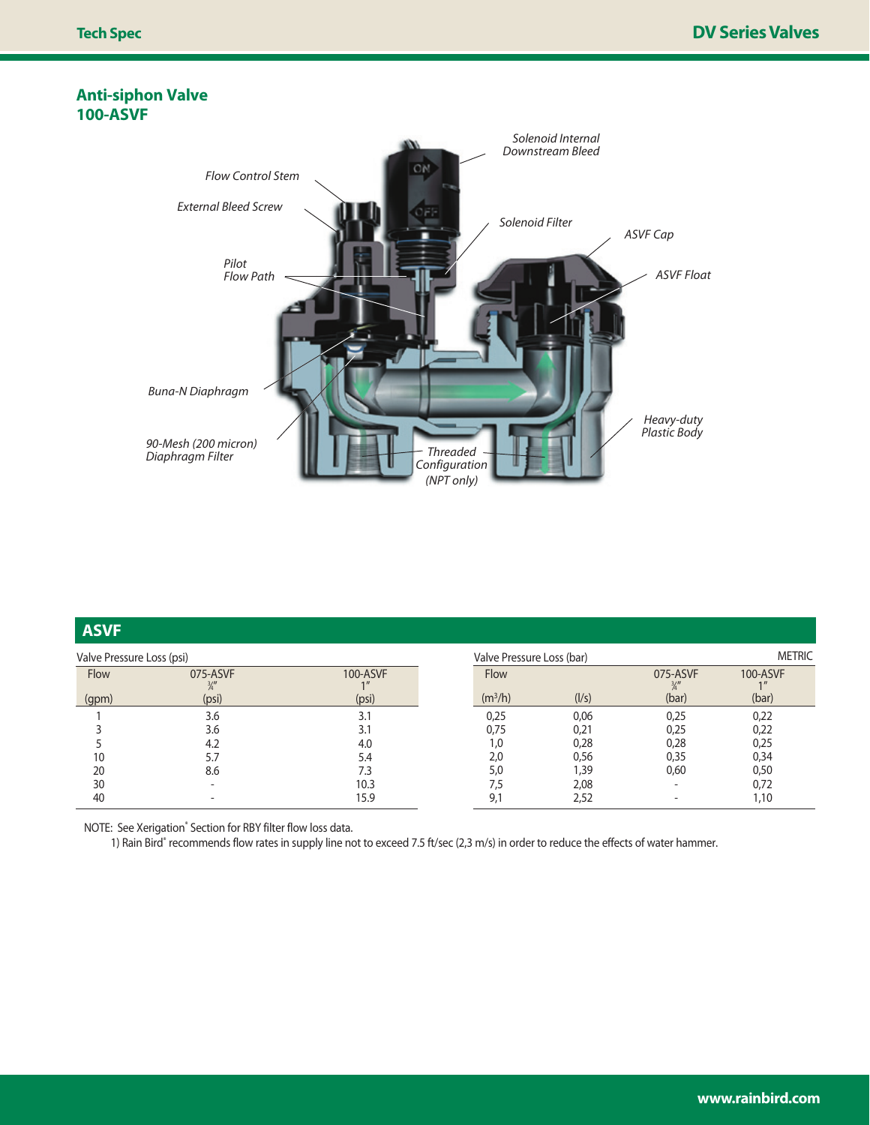# **Anti-siphon Valve 100-ASVF**



| <b>ASVF</b>               |                  |          |                           |       |                           |               |  |
|---------------------------|------------------|----------|---------------------------|-------|---------------------------|---------------|--|
| Valve Pressure Loss (psi) |                  |          | Valve Pressure Loss (bar) |       |                           | <b>METRIC</b> |  |
| Flow                      | 075-ASVF<br>3/II | 100-ASVF | Flow                      |       | 075-ASVF<br>$\frac{3}{4}$ | 100-ASVF      |  |
| (gpm)                     | (psi)            | (psi)    | (m <sup>3</sup> /h)       | (1/s) | (bar)                     | (bar)         |  |
|                           | 3.6              | 3.1      | 0,25                      | 0,06  | 0,25                      | 0,22          |  |
|                           | 3.6              | 3.1      | 0,75                      | 0,21  | 0,25                      | 0,22          |  |
|                           | 4.2              | 4.0      | 1,0                       | 0,28  | 0,28                      | 0,25          |  |
| 10                        |                  | 5.4      | 2,0                       | 0,56  | 0,35                      | 0,34          |  |
| 20                        | 8.6              | 7.3      | 5,0                       | 39,ا  | 0,60                      | 0,50          |  |
| 30                        |                  | 10.3     | 7,5                       | 2,08  |                           | 0,72          |  |
| 40                        |                  | 15.9     | 9,1                       | 2,52  |                           | 1,10          |  |

NOTE: See Xerigation<sup>®</sup> Section for RBY filter flow loss data.

1) Rain Bird® recommends flow rates in supply line not to exceed 7.5 ft/sec (2,3 m/s) in order to reduce the effects of water hammer.